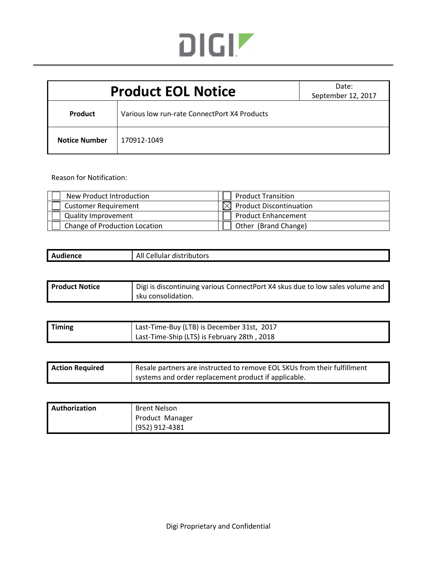

| <b>Product EOL Notice</b> |                                              | Date:<br>September 12, 2017 |  |
|---------------------------|----------------------------------------------|-----------------------------|--|
| <b>Product</b>            | Various low run-rate ConnectPort X4 Products |                             |  |
| <b>Notice Number</b>      | 170912-1049                                  |                             |  |

Reason for Notification:

| New Product Introduction      | <b>Product Transition</b>         |
|-------------------------------|-----------------------------------|
| <b>Customer Requirement</b>   | $\bowtie$ Product Discontinuation |
| <b>Quality Improvement</b>    | <b>Product Enhancement</b>        |
| Change of Production Location | Other (Brand Change)              |

| Audience | All<br>Cellular distributors |
|----------|------------------------------|
|          |                              |

| <b>Product Notice</b> | Digi is discontinuing various ConnectPort X4 skus due to low sales volume and |  |
|-----------------------|-------------------------------------------------------------------------------|--|
|                       | sku consolidation.                                                            |  |

| <b>Timing</b> | Last-Time-Buy (LTB) is December 31st, 2017  |
|---------------|---------------------------------------------|
|               | Last-Time-Ship (LTS) is February 28th, 2018 |

| <b>Action Required</b> | Resale partners are instructed to remove EOL SKUs from their fulfillment |
|------------------------|--------------------------------------------------------------------------|
|                        | systems and order replacement product if applicable.                     |

| <b>Authorization</b> | Brent Nelson    |
|----------------------|-----------------|
|                      | Product Manager |
|                      | (952) 912-4381  |